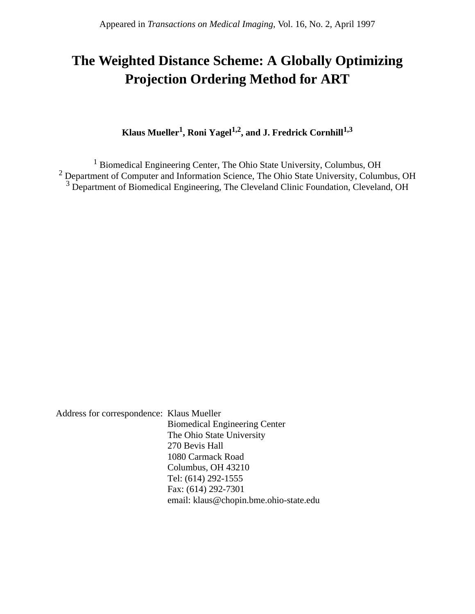# **The Weighted Distance Scheme: A Globally Optimizing Projection Ordering Method for ART**

**Klaus Mueller<sup>1</sup> , Roni Yagel1,2, and J. Fredrick Cornhill1,3**

<sup>1</sup> Biomedical Engineering Center, The Ohio State University, Columbus, OH <sup>2</sup> Department of Computer and Information Science, The Ohio State University, Columbus, OH <sup>3</sup> Department of Biomedical Engineering, The Cleveland Clinic Foundation, Cleveland, OH

Address for correspondence: Klaus Mueller Biomedical Engineering Center The Ohio State University 270 Bevis Hall 1080 Carmack Road Columbus, OH 43210 Tel: (614) 292-1555 Fax: (614) 292-7301 email: klaus@chopin.bme.ohio-state.edu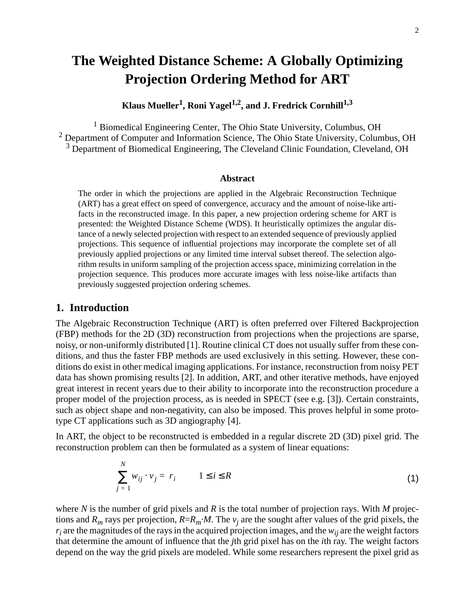## <span id="page-1-0"></span>**The Weighted Distance Scheme: A Globally Optimizing Projection Ordering Method for ART**

Klaus Mueller<sup>1</sup>, Roni Yagel<sup>1,2</sup>, and J. Fredrick Cornhill<sup>1,3</sup>

<sup>1</sup> Biomedical Engineering Center, The Ohio State University, Columbus, OH <sup>2</sup> Department of Computer and Information Science, The Ohio State University, Columbus, OH <sup>3</sup> Department of Biomedical Engineering, The Cleveland Clinic Foundation, Cleveland, OH

#### **Abstract**

The order in which the projections are applied in the Algebraic Reconstruction Technique (ART) has a great effect on speed of convergence, accuracy and the amount of noise-like artifacts in the reconstructed image. In this paper, a new projection ordering scheme for ART is presented: the Weighted Distance Scheme (WDS). It heuristically optimizes the angular distance of a newly selected projection with respect to an extended sequence of previously applied projections. This sequence of influential projections may incorporate the complete set of all previously applied projections or any limited time interval subset thereof. The selection algorithm results in uniform sampling of the projection access space, minimizing correlation in the projection sequence. This produces more accurate images with less noise-like artifacts than previously suggested projection ordering schemes.

#### **1. Introduction**

The Algebraic Reconstruction Technique (ART) is often preferred over Filtered Backprojection (FBP) methods for the 2D (3D) reconstruction from projections when the projections are sparse, noisy, or non-uniformly distributed [\[1\].](#page-12-0) Routine clinical CT does not usually suffer from these conditions, and thus the faster FBP methods are used exclusively in this setting. However, these conditions do exist in other medical imaging applications. For instance, reconstruction from noisy PET data has shown promising results [\[2\].](#page-12-0) In addition, ART, and other iterative methods, have enjoyed great interest in recent years due to their ability to incorporate into the reconstruction procedure a proper model of the projection process, as is needed in SPECT (see e.g[. \[3\]](#page-12-0)). Certain constraints, such as object shape and non-negativity, can also be imposed. This proves helpful in some prototype CT applications such as 3D angiography [[4\].](#page-12-0)

In ART, the object to be reconstructed is embedded in a regular discrete 2D (3D) pixel grid. The reconstruction problem can then be formulated as a system of linear equations:

$$
\sum_{j=1}^{N} w_{ij} \cdot v_j = r_i \qquad 1 \le i \le R \tag{1}
$$

where *N* is the number of grid pixels and *R* is the total number of projection rays. With *M* projections and  $R_m$  rays per projection,  $R=R_m·M$ . The  $v_i$  are the sought after values of the grid pixels, the  $r_i$  are the magnitudes of the rays in the acquired projection images, and the  $w_{ii}$  are the weight factors that determine the amount of influence that the *j*th grid pixel has on the *i*th ray. The weight factors depend on the way the grid pixels are modeled. While some researchers represent the pixel grid as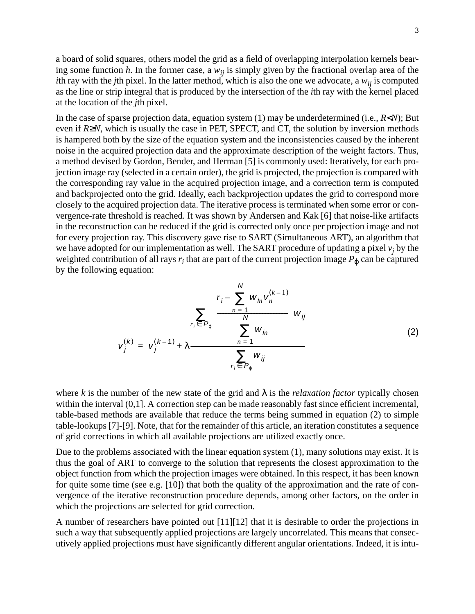a board of solid squares, others model the grid as a field of overlapping interpolation kernels bearing some function *h*. In the former case, a  $w_{ij}$  is simply given by the fractional overlap area of the *i*th ray with the *j*th pixel. In the latter method, which is also the one we advocate, a  $w_{ij}$  is computed as the line or strip integral that is produced by the intersection of the *i*th ray with the kernel placed at the location of the *j*th pixel.

In the case of sparse projection data, equation system [\(1\)](#page-1-0) may be underdetermined (i.e., *R*<*N*); But even if *R*≥*N*, which is usually the case in PET, SPECT, and CT, the solution by inversion methods is hampered both by the size of the equation system and the inconsistencies caused by the inherent noise in the acquired projection data and the approximate description of the weight factors. Thus, a method devised by Gordon, Bender, and Herman [\[5\]](#page-12-0) is commonly used: Iteratively, for each projection image ray (selected in a certain order), the grid is projected, the projection is compared with the corresponding ray value in the acquired projection image, and a correction term is computed and backprojected onto the grid. Ideally, each backprojection updates the grid to correspond more closely to the acquired projection data. The iterative process is terminated when some error or convergence-rate threshold is reached. It was shown by Andersen and Kak [\[6\]](#page-12-0) that noise-like artifacts in the reconstruction can be reduced if the grid is corrected only once per projection image and not for every projection ray. This discovery gave rise to SART (Simultaneous ART), an algorithm that we have adopted for our implementation as well. The SART procedure of updating a pixel  $v_i$  by the weighted contribution of all rays  $r_i$  that are part of the current projection image  $P_{\phi}$  can be captured by the following equation:

$$
v_{j}^{(k)} = v_{j}^{(k-1)} + \lambda \frac{\sum_{r_{i} \in P_{\varphi}} \left( \frac{r_{i} - \sum_{n=1}^{N} w_{in} v_{n}^{(k-1)}}{\sum_{n=1}^{N} w_{in}} \right) w_{ij}}{\sum_{r_{i} \in P_{\varphi}} w_{ij}}
$$
(2)

where *k* is the number of the new state of the grid and  $\lambda$  is the *relaxation factor* typically chosen within the interval  $(0,1]$ . A correction step can be made reasonably fast since efficient incremental, table-based methods are available that reduce the terms being summed in equation (2) to simple table-lookups [\[7\]-\[9\].](#page-12-0) Note, that for the remainder of this article, an iteration constitutes a sequence of grid corrections in which all available projections are utilized exactly once.

Due to the problems associated with the linear equation system [\(1\),](#page-1-0) many solutions may exist. It is thus the goal of ART to converge to the solution that represents the closest approximation to the object function from which the projection images were obtained. In this respect, it has been known for quite some time (see e.g. [\[10\]\)](#page-12-0) that both the quality of the approximation and the rate of convergence of the iterative reconstruction procedure depends, among other factors, on the order in which the projections are selected for grid correction.

A number of researchers have pointed out [\[11\]\[12\]](#page-12-0) that it is desirable to order the projections in such a way that subsequently applied projections are largely uncorrelated. This means that consecutively applied projections must have significantly different angular orientations. Indeed, it is intu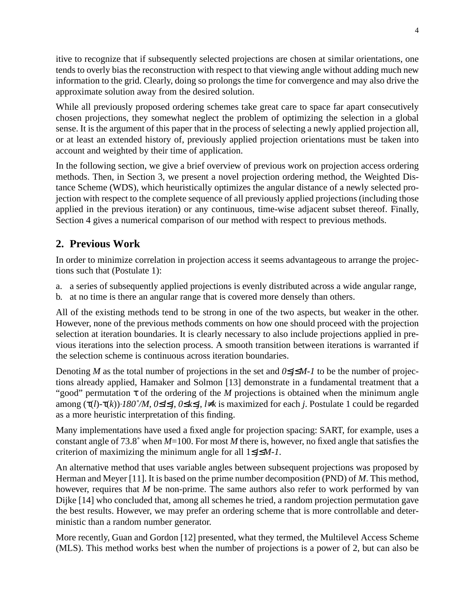itive to recognize that if subsequently selected projections are chosen at similar orientations, one tends to overly bias the reconstruction with respect to that viewing angle without adding much new information to the grid. Clearly, doing so prolongs the time for convergence and may also drive the approximate solution away from the desired solution.

While all previously proposed ordering schemes take great care to space far apart consecutively chosen projections, they somewhat neglect the problem of optimizing the selection in a global sense. It is the argument of this paper that in the process of selecting a newly applied projection all, or at least an extended history of, previously applied projection orientations must be taken into account and weighted by their time of application.

In the following section, we give a brief overview of previous work on projection access ordering methods. Then, in Section 3, we present a novel projection ordering method, the Weighted Distance Scheme (WDS), which heuristically optimizes the angular distance of a newly selected projection with respect to the complete sequence of all previously applied projections (including those applied in the previous iteration) or any continuous, time-wise adjacent subset thereof. Finally, Section 4 gives a numerical comparison of our method with respect to previous methods.

## **2. Previous Work**

In order to minimize correlation in projection access it seems advantageous to arrange the projections such that (Postulate 1):

- a. a series of subsequently applied projections is evenly distributed across a wide angular range,
- b. at no time is there an angular range that is covered more densely than others.

All of the existing methods tend to be strong in one of the two aspects, but weaker in the other. However, none of the previous methods comments on how one should proceed with the projection selection at iteration boundaries. It is clearly necessary to also include projections applied in previous iterations into the selection process. A smooth transition between iterations is warranted if the selection scheme is continuous across iteration boundaries.

Denoting *M* as the total number of projections in the set and *0*≤*j*≤*M-1* to be the number of projections already applied, Hamaker and Solmon [\[13\]](#page-12-0) demonstrate in a fundamental treatment that a "good" permutation  $\tau$  of the ordering of the *M* projections is obtained when the minimum angle among (τ(*l*)-τ(*k*))⋅*180˚/M*, *0*≤*l*≤*j*, *0*≤*k*≤*j*, *l*≠*k* is maximized for each *j*. Postulate 1 could be regarded as a more heuristic interpretation of this finding.

Many implementations have used a fixed angle for projection spacing: SART, for example, uses a constant angle of 73.8˚ when *M*=100. For most *M* there is, however, no fixed angle that satisfies the criterion of maximizing the minimum angle for all 1≤*j*≤*M-1*.

An alternative method that uses variable angles between subsequent projections was proposed by Herman and Meyer [\[11\].](#page-12-0) It is based on the prime number decomposition (PND) of *M*. This method, however, requires that *M* be non-prime. The same authors also refer to work performed by van Dijke [\[14\]](#page-12-0) who concluded that, among all schemes he tried, a random projection permutation gave the best results. However, we may prefer an ordering scheme that is more controllable and deterministic than a random number generator.

More recently, Guan and Gordon [\[12\]](#page-12-0) presented, what they termed, the Multilevel Access Scheme (MLS). This method works best when the number of projections is a power of 2, but can also be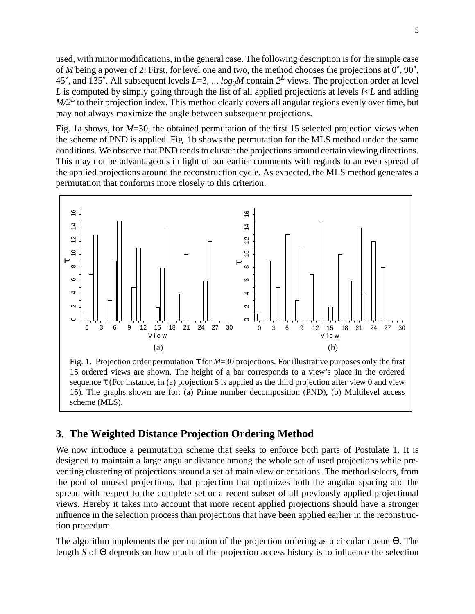used, with minor modifications, in the general case. The following description is for the simple case of *M* being a power of 2: First, for level one and two, the method chooses the projections at 0˚, 90˚, 45°, and 135°. All subsequent levels  $L=3, ..., log<sub>2</sub>M$  contain  $2<sup>L</sup>$  views. The projection order at level *L* is computed by simply going through the list of all applied projections at levels *l<L* and adding  $M/2<sup>L</sup>$  to their projection index. This method clearly covers all angular regions evenly over time, but may not always maximize the angle between subsequent projections.

Fig. 1a shows, for  $M=30$ , the obtained permutation of the first 15 selected projection views when the scheme of PND is applied. Fig. 1b shows the permutation for the MLS method under the same conditions. We observe that PND tends to cluster the projections around certain viewing directions. This may not be advantageous in light of our earlier comments with regards to an even spread of the applied projections around the reconstruction cycle. As expected, the MLS method generates a permutation that conforms more closely to this criterion.



Fig. 1. Projection order permutation τ for *M*=30 projections. For illustrative purposes only the first 15 ordered views are shown. The height of a bar corresponds to a view's place in the ordered sequence  $\tau$  (For instance, in (a) projection 5 is applied as the third projection after view 0 and view 15). The graphs shown are for: (a) Prime number decomposition (PND), (b) Multilevel access scheme (MLS).

## **3. The Weighted Distance Projection Ordering Method**

We now introduce a permutation scheme that seeks to enforce both parts of Postulate 1. It is designed to maintain a large angular distance among the whole set of used projections while preventing clustering of projections around a set of main view orientations. The method selects, from the pool of unused projections, that projection that optimizes both the angular spacing and the spread with respect to the complete set or a recent subset of all previously applied projectional views. Hereby it takes into account that more recent applied projections should have a stronger influence in the selection process than projections that have been applied earlier in the reconstruction procedure.

The algorithm implements the permutation of the projection ordering as a circular queue Θ. The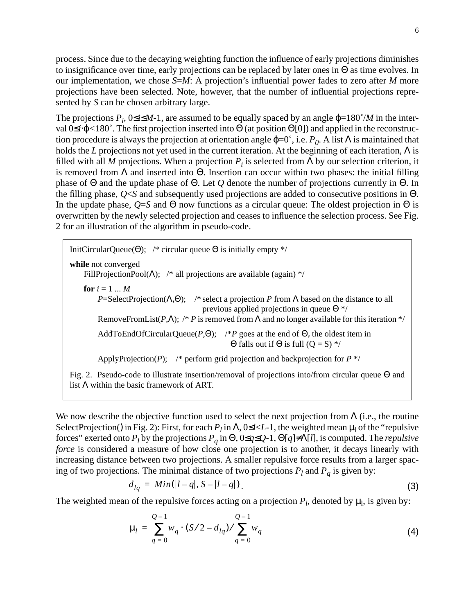process. Since due to the decaying weighting function the influence of early projections diminishes to insignificance over time, early projections can be replaced by later ones in Θ as time evolves. In our implementation, we chose *S*=*M*: A projection's influential power fades to zero after *M* more projections have been selected. Note, however, that the number of influential projections represented by *S* can be chosen arbitrary large.

The projections  $P_i$ , 0≤*i*≤*M*-1, are assumed to be equally spaced by an angle  $\varphi$ =180°/*M* in the interval 0≤*i*⋅ϕ*<*180˚. The first projection inserted into Θ (at position Θ[0]) and applied in the reconstruction procedure is always the projection at orientation angle  $φ=0^\circ$ , i.e.  $P_0$ . A list Λ is maintained that holds the *L* projections not yet used in the current iteration. At the beginning of each iteration, Λ is filled with all *M* projections. When a projection  $P_i$  is selected from  $\Lambda$  by our selection criterion, it is removed from  $\Lambda$  and inserted into  $\Theta$ . Insertion can occur within two phases: the initial filling phase of Θ and the update phase of Θ. Let *Q* denote the number of projections currently in Θ. In the filling phase, *Q*<*S* and subsequently used projections are added to consecutive positions in Θ. In the update phase,  $Q=S$  and  $\Theta$  now functions as a circular queue: The oldest projection in  $\Theta$  is overwritten by the newly selected projection and ceases to influence the selection process. See Fig. 2 for an illustration of the algorithm in pseudo-code.

InitCircularQueue( $\Theta$ ); /\* circular queue  $\Theta$  is initially empty \*/ **while** not converged FillProjectionPool( $\Lambda$ ); /\* all projections are available (again) \*/ **for**  $i = 1 ... M$ *P*=SelectProjection( $\Lambda$ , $\Theta$ ); /\* select a projection *P* from  $\Lambda$  based on the distance to all previous applied projections in queue Θ \*/ RemoveFromList( $P, \Lambda$ ); /\*  $P$  is removed from  $\Lambda$  and no longer available for this iteration \*/ AddToEndOfCircularQueue( $P$ , $\Theta$ ); /\* $P$  goes at the end of  $\Theta$ , the oldest item in Θ falls out if Θ is full  $(O = S)$  \*/ ApplyProjection(P); /\* perform grid projection and backprojection for  $P^*$ Fig. 2. Pseudo-code to illustrate insertion/removal of projections into/from circular queue Θ and list Λ within the basic framework of ART.

We now describe the objective function used to select the next projection from  $\Lambda$  (i.e., the routine SelectProjection() in Fig. 2): First, for each  $P_l$  in  $\Lambda$ , 0  $\leq l \leq L-1$ , the weighted mean  $\mu_l$  of the "repulsive forces" exerted onto  $P_l$  by the projections  $P_q$  in  $\Theta$ , 0≤*q*≤*Q*-1,  $\Theta$ [*q*]≠ $\Lambda$ [*l*], is computed. The *repulsive force* is considered a measure of how close one projection is to another, it decays linearly with increasing distance between two projections. A smaller repulsive force results from a larger spacing of two projections. The minimal distance of two projections  $P_l$  and  $P_q$  is given by:

$$
d_{lq} = Min(|l - q|, S - |l - q|). \tag{3}
$$

The weighted mean of the repulsive forces acting on a projection  $P_l$ , denoted by  $\mu_l$ , is given by:

$$
\mu_{l} = \sum_{q=0}^{Q-1} w_{q} \cdot (S/2 - d_{lq}) / \sum_{q=0}^{Q-1} w_{q}
$$
\n(4)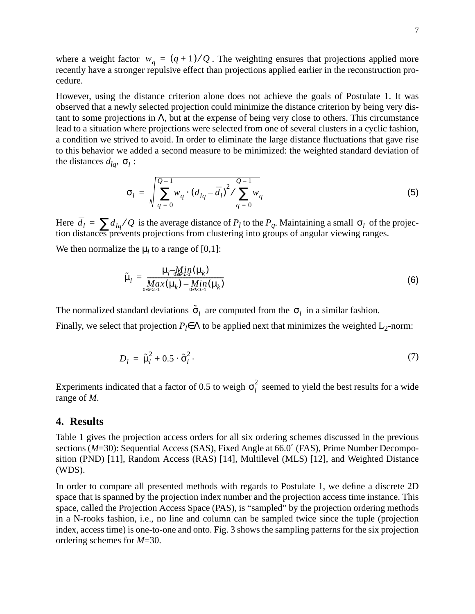where a weight factor  $w_q = (q+1)/Q$ . The weighting ensures that projections applied more recently have a stronger repulsive effect than projections applied earlier in the reconstruction procedure.

However, using the distance criterion alone does not achieve the goals of Postulate 1. It was observed that a newly selected projection could minimize the distance criterion by being very distant to some projections in Λ, but at the expense of being very close to others. This circumstance lead to a situation where projections were selected from one of several clusters in a cyclic fashion, a condition we strived to avoid. In order to eliminate the large distance fluctuations that gave rise to this behavior we added a second measure to be minimized: the weighted standard deviation of the distances  $d_{lq}$ ,  $\sigma_l$ :

$$
\sigma_{l} = \sqrt{\sum_{q=0}^{Q-1} w_{q} \cdot (d_{lq} - \overline{d}_{l})^{2} / \sum_{q=0}^{Q-1} w_{q}}
$$
(5)

Here  $d_l = \sum d_{lq}/Q$  is the average distance of  $P_l$  to the  $P_q$ . Maintaining a small  $\sigma_l$  of the projection distances prevents projections from clustering into groups of angular viewing ranges.  $\overline{d}_l = \sum d_{lq}/Q$  is the average distance of  $P_l$  to the  $P_q$ . Maintaining a small  $\sigma_l$ 

We then normalize the  $\mu_l$  to a range of [0,1]:

$$
\tilde{\mu}_l = \frac{\mu_l - M_l i n(\mu_k)}{M a x(\mu_k) - M l n(\mu_k)} \tag{6}
$$

The normalized standard deviations  $\tilde{\sigma}_l$  are computed from the  $\sigma_l$  in a similar fashion.

Finally, we select that projection  $P_l \in \Lambda$  to be applied next that minimizes the weighted  $L_2$ -norm:

$$
D_l = \tilde{\mu}_l^2 + 0.5 \cdot \tilde{\sigma}_l^2. \tag{7}
$$

Experiments indicated that a factor of 0.5 to weigh  $\sigma_l^2$  seemed to yield the best results for a wide range of *M*.

#### **4. Results**

Table 1 gives the projection access orders for all six ordering schemes discussed in the previous sections ( $M=30$ ): Sequential Access (SAS), Fixed Angle at 66.0° (FAS), Prime Number Decomposition (PND) [\[11\],](#page-12-0) Random Access (RAS) [\[14\],](#page-12-0) Multilevel (MLS) [\[12\]](#page-12-0), and Weighted Distance (WDS).

In order to compare all presented methods with regards to Postulate 1, we define a discrete 2D space that is spanned by the projection index number and the projection access time instance. This space, called the Projection Access Space (PAS), is "sampled" by the projection ordering methods in a N-rooks fashion, i.e., no line and column can be sampled twice since the tuple (projection index, access time) is one-to-one and onto. [Fig. 3 s](#page-8-0)hows the sampling patterns for the six projection ordering schemes for *M*=30.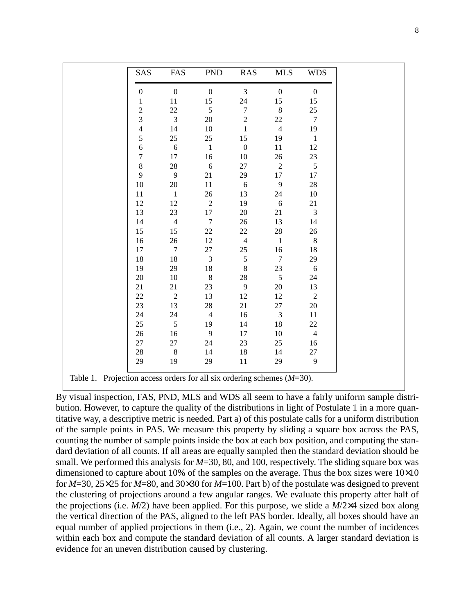| SAS              | FAS              | <b>PND</b>       | RAS              | <b>MLS</b>       | <b>WDS</b>       |
|------------------|------------------|------------------|------------------|------------------|------------------|
| $\boldsymbol{0}$ | $\boldsymbol{0}$ | $\boldsymbol{0}$ | $\mathfrak{Z}$   | $\boldsymbol{0}$ | $\boldsymbol{0}$ |
| $\mathbf{1}$     | 11               | 15               | 24               | 15               | 15               |
| $\overline{c}$   | 22               | 5                | $\boldsymbol{7}$ | $\,8\,$          | 25               |
| 3                | $\overline{3}$   | 20               | $\sqrt{2}$       | 22               | $7\phantom{.0}$  |
| $\overline{4}$   | 14               | $10\,$           | $\mathbf{1}$     | $\overline{4}$   | 19               |
| 5                | 25               | 25               | 15               | 19               | $\mathbf{1}$     |
| $\overline{6}$   | 6                | $\overline{1}$   | $\boldsymbol{0}$ | 11               | 12               |
| $\boldsymbol{7}$ | 17               | 16               | 10               | $26\,$           | 23               |
| $\,8\,$          | $28\,$           | 6                | 27               | $\sqrt{2}$       | $\overline{5}$   |
| 9                | 9                | 21               | 29               | 17               | 17               |
| 10               | $20\,$           | 11               | $\sqrt{6}$       | 9                | 28               |
| 11               | $\overline{1}$   | 26               | 13               | 24               | $10\,$           |
| 12               | 12               | $\overline{2}$   | 19               | 6                | 21               |
| 13               | 23               | 17               | $20\,$           | 21               | $\overline{3}$   |
| 14               | $\overline{4}$   | $7\phantom{.0}$  | 26               | 13               | 14               |
| 15               | 15               | 22               | $22\,$           | 28               | 26               |
| 16               | 26               | 12               | $\overline{4}$   | $\overline{1}$   | 8                |
| 17               | $\overline{7}$   | 27               | $25\,$           | 16               | 18               |
| 18               | 18               | $\overline{3}$   | $\sqrt{5}$       | $\overline{7}$   | 29               |
| 19               | 29               | 18               | $8\,$            | 23               | 6                |
| 20               | 10               | $\,8\,$          | 28               | 5                | 24               |
| 21               | 21               | 23               | $\overline{9}$   | 20               | 13               |
| 22               | $\overline{2}$   | 13               | 12               | 12               | 2                |
| 23               | 13               | 28               | 21               | 27               | $20\,$           |
| 24               | 24               | $\overline{4}$   | 16               | 3                | 11               |
| 25               | $\sqrt{5}$       | 19               | 14               | 18               | $22\,$           |
| 26               | 16               | 9                | 17               | 10               | $\overline{4}$   |
| 27               | 27               | 24               | 23               | 25               | 16               |
| 28               | $8\phantom{.0}$  | 14               | 18               | 14               | 27               |
| 29               | 19               | 29               | 11               | 29               | 9                |

Table 1. Projection access orders for all six ordering schemes (*M*=30).

By visual inspection, FAS, PND, MLS and WDS all seem to have a fairly uniform sample distribution. However, to capture the quality of the distributions in light of Postulate 1 in a more quantitative way, a descriptive metric is needed. Part a) of this postulate calls for a uniform distribution of the sample points in PAS. We measure this property by sliding a square box across the PAS, counting the number of sample points inside the box at each box position, and computing the standard deviation of all counts. If all areas are equally sampled then the standard deviation should be small. We performed this analysis for *M*=30, 80, and 100, respectively. The sliding square box was dimensioned to capture about 10% of the samples on the average. Thus the box sizes were 10×10 for *M*=30, 25×25 for *M*=80, and 30×30 for *M*=100. Part b) of the postulate was designed to prevent the clustering of projections around a few angular ranges. We evaluate this property after half of the projections (i.e. *M*/2) have been applied. For this purpose, we slide a *M*/2×4 sized box along the vertical direction of the PAS, aligned to the left PAS border. Ideally, all boxes should have an equal number of applied projections in them (i.e., 2). Again, we count the number of incidences within each box and compute the standard deviation of all counts. A larger standard deviation is evidence for an uneven distribution caused by clustering.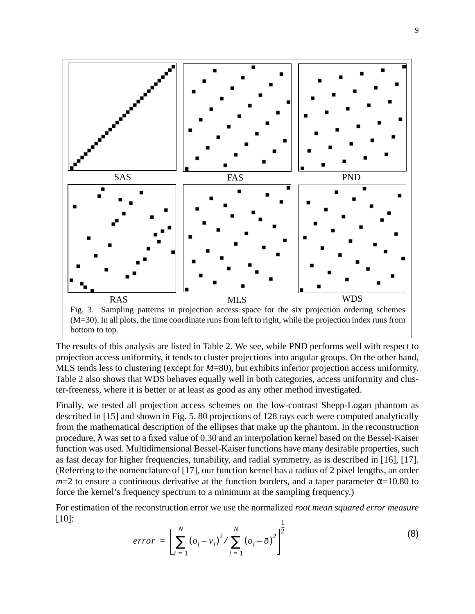<span id="page-8-0"></span>

The results of this analysis are listed in Table 2. We see, while PND performs well with respect to projection access uniformity, it tends to cluster projections into angular groups. On the other hand, MLS tends less to clustering (except for *M*=80), but exhibits inferior projection access uniformity. Table 2 also shows that WDS behaves equally well in both categories, access uniformity and cluster-freeness, where it is better or at least as good as any other method investigated.

Finally, we tested all projection access schemes on the low-contrast Shepp-Logan phantom as described in [\[15\] a](#page-13-0)nd shown in [Fig. 5.](#page-11-0) 80 projections of 128 rays each were computed analytically from the mathematical description of the ellipses that make up the phantom. In the reconstruction procedure, λ was set to a fixed value of 0.30 and an interpolation kernel based on the Bessel-Kaiser function was used. Multidimensional Bessel-Kaiser functions have many desirable properties, such as fast decay for higher frequencies, tunability, and radial symmetry, as is described in [\[16\], \[17\].](#page-13-0) (Referring to the nomenclature of [\[17\],](#page-13-0) our function kernel has a radius of 2 pixel lengths, an order  $m=2$  to ensure a continuous derivative at the function borders, and a taper parameter  $\alpha$ =10.80 to force the kernel's frequency spectrum to a minimum at the sampling frequency.)

For estimation of the reconstruction error we use the normalized *root mean squared error measure* [\[10\]:](#page-12-0) 1

$$
error = \left[ \sum_{i=1}^{N} (o_i - v_i)^2 / \sum_{i=1}^{N} (o_i - \bar{o})^2 \right]^{\frac{1}{2}}
$$
 (8)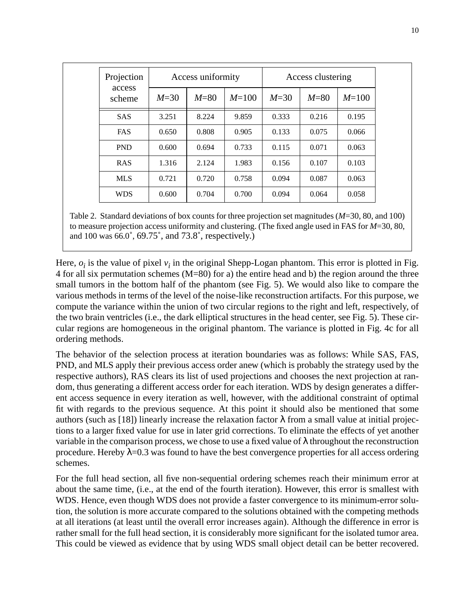| Projection       |        | Access uniformity |           | Access clustering |        |           |
|------------------|--------|-------------------|-----------|-------------------|--------|-----------|
| access<br>scheme | $M=30$ | $M=80$            | $M = 100$ | $M=30$            | $M=80$ | $M = 100$ |
| <b>SAS</b>       | 3.251  | 8.224             | 9.859     | 0.333             | 0.216  | 0.195     |
| <b>FAS</b>       | 0.650  | 0.808             | 0.905     | 0.133             | 0.075  | 0.066     |
| <b>PND</b>       | 0.600  | 0.694             | 0.733     | 0.115             | 0.071  | 0.063     |
| <b>RAS</b>       | 1.316  | 2.124             | 1.983     | 0.156             | 0.107  | 0.103     |
| <b>MLS</b>       | 0.721  | 0.720             | 0.758     | 0.094             | 0.087  | 0.063     |
| <b>WDS</b>       | 0.600  | 0.704             | 0.700     | 0.094             | 0.064  | 0.058     |

Table 2. Standard deviations of box counts for three projection set magnitudes (*M*=30, 80, and 100) to measure projection access uniformity and clustering. (The fixed angle used in FAS for *M*=30, 80, and 100 was 66.0˚, 69.75˚, and 73.8˚, respectively.)

Here,  $o_i$  is the value of pixel  $v_i$  in the original Shepp-Logan phantom. This error is plotted in [Fig.](#page-10-0) [4](#page-10-0) for all six permutation schemes (M=80) for a) the entire head and b) the region around the three small tumors in the bottom half of the phantom (see [Fig. 5](#page-11-0)). We would also like to compare the various methods in terms of the level of the noise-like reconstruction artifacts. For this purpose, we compute the variance within the union of two circular regions to the right and left, respectively, of the two brain ventricles (i.e., the dark elliptical structures in the head center, see [Fig. 5](#page-11-0)). These circular regions are homogeneous in the original phantom. The variance is plotted in [Fig. 4c](#page-10-0) for all ordering methods.

The behavior of the selection process at iteration boundaries was as follows: While SAS, FAS, PND, and MLS apply their previous access order anew (which is probably the strategy used by the respective authors), RAS clears its list of used projections and chooses the next projection at random, thus generating a different access order for each iteration. WDS by design generates a different access sequence in every iteration as well, however, with the additional constraint of optimal fit with regards to the previous sequence. At this point it should also be mentioned that some authors (such as [\[18\]\)](#page-13-0) linearly increase the relaxation factor λ from a small value at initial projections to a larger fixed value for use in later grid corrections. To eliminate the effects of yet another variable in the comparison process, we chose to use a fixed value of  $\lambda$  throughout the reconstruction procedure. Hereby  $\lambda$ =0.3 was found to have the best convergence properties for all access ordering schemes.

For the full head section, all five non-sequential ordering schemes reach their minimum error at about the same time, (i.e., at the end of the fourth iteration). However, this error is smallest with WDS. Hence, even though WDS does not provide a faster convergence to its minimum-error solution, the solution is more accurate compared to the solutions obtained with the competing methods at all iterations (at least until the overall error increases again). Although the difference in error is rather small for the full head section, it is considerably more significant for the isolated tumor area. This could be viewed as evidence that by using WDS small object detail can be better recovered.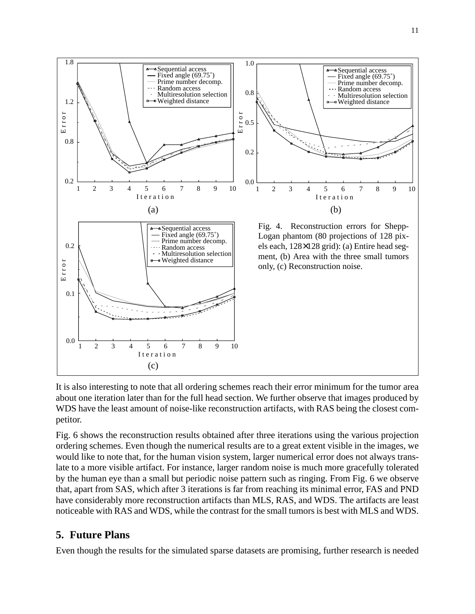<span id="page-10-0"></span>

It is also interesting to note that all ordering schemes reach their error minimum for the tumor area about one iteration later than for the full head section. We further observe that images produced by WDS have the least amount of noise-like reconstruction artifacts, with RAS being the closest competitor.

[Fig. 6](#page-11-0) shows the reconstruction results obtained after three iterations using the various projection ordering schemes. Even though the numerical results are to a great extent visible in the images, we would like to note that, for the human vision system, larger numerical error does not always translate to a more visible artifact. For instance, larger random noise is much more gracefully tolerated by the human eye than a small but periodic noise pattern such as ringing. From [Fig. 6](#page-11-0) we observe that, apart from SAS, which after 3 iterations is far from reaching its minimal error, FAS and PND have considerably more reconstruction artifacts than MLS, RAS, and WDS. The artifacts are least noticeable with RAS and WDS, while the contrast for the small tumors is best with MLS and WDS.

### **5. Future Plans**

Even though the results for the simulated sparse datasets are promising, further research is needed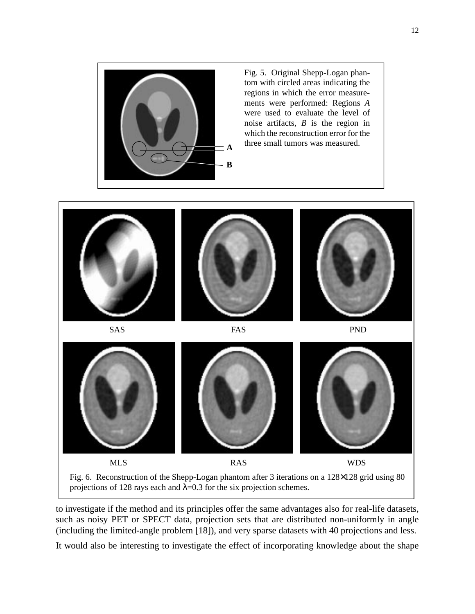<span id="page-11-0"></span>

Fig. 5. Original Shepp-Logan phantom with circled areas indicating the regions in which the error measurements were performed: Regions *A* were used to evaluate the level of noise artifacts, *B* is the region in which the reconstruction error for the three small tumors was measured. **<sup>A</sup>**



to investigate if the method and its principles offer the same advantages also for real-life datasets, such as noisy PET or SPECT data, projection sets that are distributed non-uniformly in angle (including the limited-angle proble[m \[18\]](#page-13-0)), and very sparse datasets with 40 projections and less.

It would also be interesting to investigate the effect of incorporating knowledge about the shape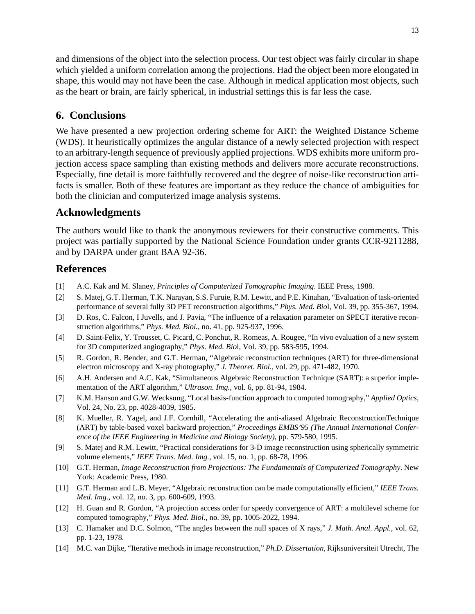<span id="page-12-0"></span>and dimensions of the object into the selection process. Our test object was fairly circular in shape which yielded a uniform correlation among the projections. Had the object been more elongated in shape, this would may not have been the case. Although in medical application most objects, such as the heart or brain, are fairly spherical, in industrial settings this is far less the case.

## **6. Conclusions**

We have presented a new projection ordering scheme for ART: the Weighted Distance Scheme (WDS). It heuristically optimizes the angular distance of a newly selected projection with respect to an arbitrary-length sequence of previously applied projections. WDS exhibits more uniform projection access space sampling than existing methods and delivers more accurate reconstructions. Especially, fine detail is more faithfully recovered and the degree of noise-like reconstruction artifacts is smaller. Both of these features are important as they reduce the chance of ambiguities for both the clinician and computerized image analysis systems.

## **Acknowledgments**

The authors would like to thank the anonymous reviewers for their constructive comments. This project was partially supported by the National Science Foundation under grants CCR-9211288, and by DARPA under grant BAA 92-36.

## **References**

- [1] A.C. Kak and M. Slaney, *Principles of Computerized Tomographic Imaging*. IEEE Press, 1988.
- [2] S. Matej, G.T. Herman, T.K. Narayan, S.S. Furuie, R.M. Lewitt, and P.E. Kinahan, "Evaluation of task-oriented performance of several fully 3D PET reconstruction algorithms," *Phys. Med. Bio*l, Vol. 39, pp. 355-367, 1994.
- [3] D. Ros, C. Falcon, I Juvells, and J. Pavia, "The influence of a relaxation parameter on SPECT iterative reconstruction algorithms," *Phys. Med. Biol.*, no. 41, pp. 925-937, 1996.
- [4] D. Saint-Felix, Y. Trousset, C. Picard, C. Ponchut, R. Romeas, A. Rougee, "In vivo evaluation of a new system for 3D computerized angiography," *Phys. Med. Bio*l, Vol. 39, pp. 583-595, 1994.
- [5] R. Gordon, R. Bender, and G.T. Herman, "Algebraic reconstruction techniques (ART) for three-dimensional electron microscopy and X-ray photography," *J. Theoret. Biol.*, vol. 29, pp. 471-482, 1970.
- [6] A.H. Andersen and A.C. Kak, "Simultaneous Algebraic Reconstruction Technique (SART): a superior implementation of the ART algorithm," *Ultrason. Img.*, vol. 6, pp. 81-94, 1984.
- [7] K.M. Hanson and G.W. Wecksung, "Local basis-function approach to computed tomography," *Applied Optics*, Vol. 24, No. 23, pp. 4028-4039, 1985.
- [8] K. Mueller, R. Yagel, and J.F. Cornhill, "Accelerating the anti-aliased Algebraic ReconstructionTechnique (ART) by table-based voxel backward projection," *Proceedings EMBS'95 (The Annual International Conference of the IEEE Engineering in Medicine and Biology Society)*, pp. 579-580, 1995.
- [9] S. Matej and R.M. Lewitt, "Practical considerations for 3-D image reconstruction using spherically symmetric volume elements," *IEEE Trans. Med. Img.*, vol. 15, no. 1, pp. 68-78, 1996.
- [10] G.T. Herman, *Image Reconstruction from Projections: The Fundamentals of Computerized Tomography*. New York: Academic Press, 1980.
- [11] G.T. Herman and L.B. Meyer, "Algebraic reconstruction can be made computationally efficient," *IEEE Trans. Med. Img.*, vol. 12, no. 3, pp. 600-609, 1993.
- [12] H. Guan and R. Gordon, "A projection access order for speedy convergence of ART: a multilevel scheme for computed tomography," *Phys. Med. Biol*., no. 39, pp. 1005-2022, 1994.
- [13] C. Hamaker and D.C. Solmon, "The angles between the null spaces of X rays," *J. Math. Anal. Appl.*, vol. 62, pp. 1-23, 1978.
- [14] M.C. van Dijke, "Iterative methods in image reconstruction," *Ph.D. Dissertation*, Rijksuniversiteit Utrecht, The